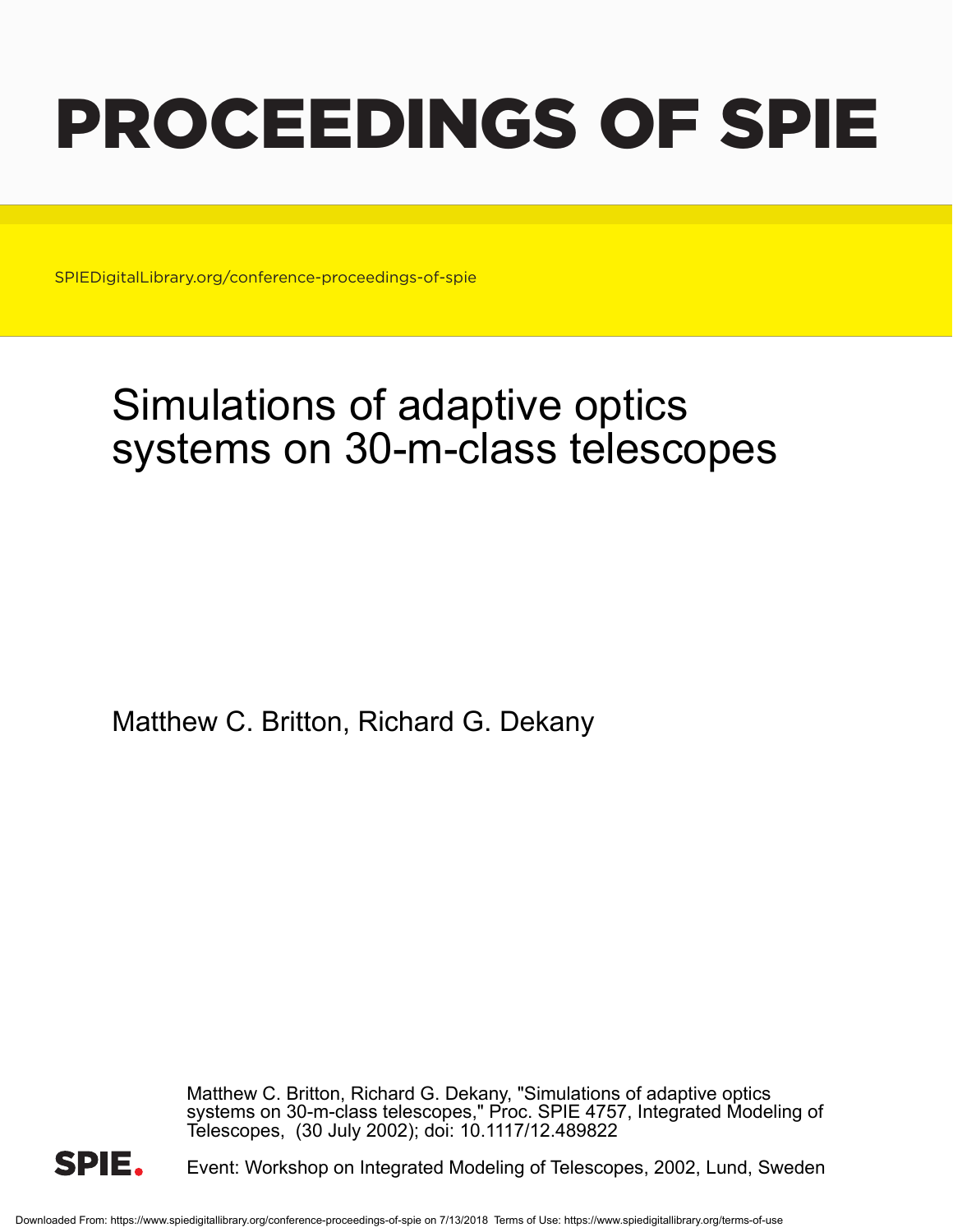# PROCEEDINGS OF SPIE

SPIEDigitalLibrary.org/conference-proceedings-of-spie

# Simulations of adaptive optics systems on 30-m-class telescopes

Matthew C. Britton, Richard G. Dekany

Matthew C. Britton, Richard G. Dekany, "Simulations of adaptive optics systems on 30-m-class telescopes," Proc. SPIE 4757, Integrated Modeling of Telescopes, (30 July 2002); doi: 10.1117/12.489822



Event: Workshop on Integrated Modeling of Telescopes, 2002, Lund, Sweden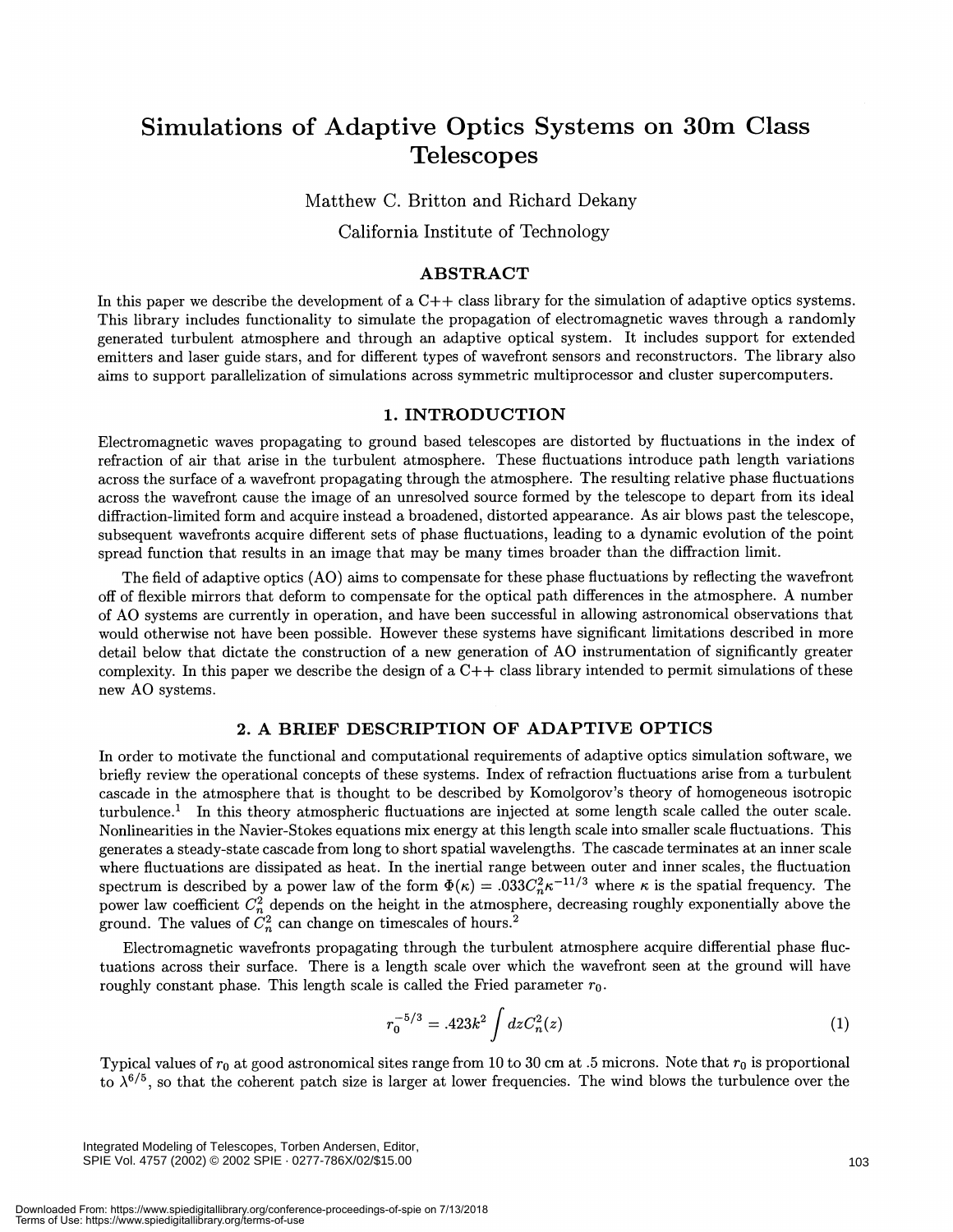## Simulations of Adaptive Optics Systems on 30m Class **Telescopes**

Matthew C. Britton and Richard Dekany California Institute of Technology

#### ABSTRACT

In this paper we describe the development of a C++ class library for the simulation of adaptive optics systems. This library includes functionality to simulate the propagation of electromagnetic waves through a randomly generated turbulent atmosphere and through an adaptive optical system. It includes support for extended emitters and laser guide stars, and for different types of wavefront sensors and reconstructors. The library also aims to support parallelization of simulations across symmetric multiprocessor and cluster supercomputers.

#### 1. INTRODUCTION

Electromagnetic waves propagating to ground based telescopes are distorted by fluctuations in the index of refraction of air that arise in the turbulent atmosphere. These fluctuations introduce path length variations across the surface of a wavefront propagating through the atmosphere. The resulting relative phase fluctuations across the wavefront cause the image of an unresolved source formed by the telescope to depart from its ideal diffraction-limited form and acquire instead a broadened, distorted appearance. As air blows past the telescope, subsequent wavefronts acquire different sets of phase fluctuations, leading to a dynamic evolution of the point spread function that results in an image that may be many times broader than the diffraction limit.

The field of adaptive optics (AO) aims to compensate for these phase fluctuations by reflecting the wavefront off of flexible mirrors that deform to compensate for the optical path differences in the atmosphere. A number of AO systems are currently in operation, and have been successful in allowing astronomical observations that would otherwise not have been possible. However these systems have significant limitations described in more detail below that dictate the construction of a new generation of AO instrumentation of significantly greater complexity. In this paper we describe the design of a  $C++$  class library intended to permit simulations of these new AO systems.

#### 2. A BRIEF DESCRIPTION OF ADAPTIVE OPTICS

In order to motivate the functional and computational requirements of adaptive optics simulation software, we briefly review the operational concepts of these systems. Index of refraction fluctuations arise from a turbulent cascade in the atmosphere that is thought to be described by Komolgorov's theory of homogeneous isotropic turbulence.' In this theory atmospheric fluctuations are injected at some length scale called the outer scale. Nonlinearities in the Navier-Stokes equations mix energy at this length scale into smaller scale fluctuations. This generates a steady-state cascade from long to short spatial wavelengths. The cascade terminates at an inner scale where fluctuations are dissipated as heat. In the inertial range between outer and inner scales, the fluctuation spectrum is described by a power law of the form  $\Phi(\kappa) = .033C_n^2\kappa^{-11/3}$  where  $\kappa$  is the spatial frequency. The power law coefficient  $C_n^2$  depends on the height in the atmosphere, decreasing roughly exponentially above the ground. The values of  $C_n^2$  can change on timescales of hours.<sup>2</sup>

Electromagnetic wavefronts propagating through the turbulent atmosphere acquire differential phase fluctuations across their surface. There is a length scale over which the wavefront seen at the ground will have roughly constant phase. This length scale is called the Fried parameter  $r_0$ .

$$
r_0^{-5/3} = .423k^2 \int dz C_n^2(z)
$$
 (1)

Typical values of  $r_0$  at good astronomical sites range from 10 to 30 cm at .5 microns. Note that  $r_0$  is proportional to  $\lambda^{6/5}$ , so that the coherent patch size is larger at lower frequencies. The wind blows the turbulence over the

Integrated Modeling of Telescopes, Torben Andersen, Editor, SPIE Vol. 4757 (2002) © 2002 SPIE · 0277-786X/02/\$15.00 103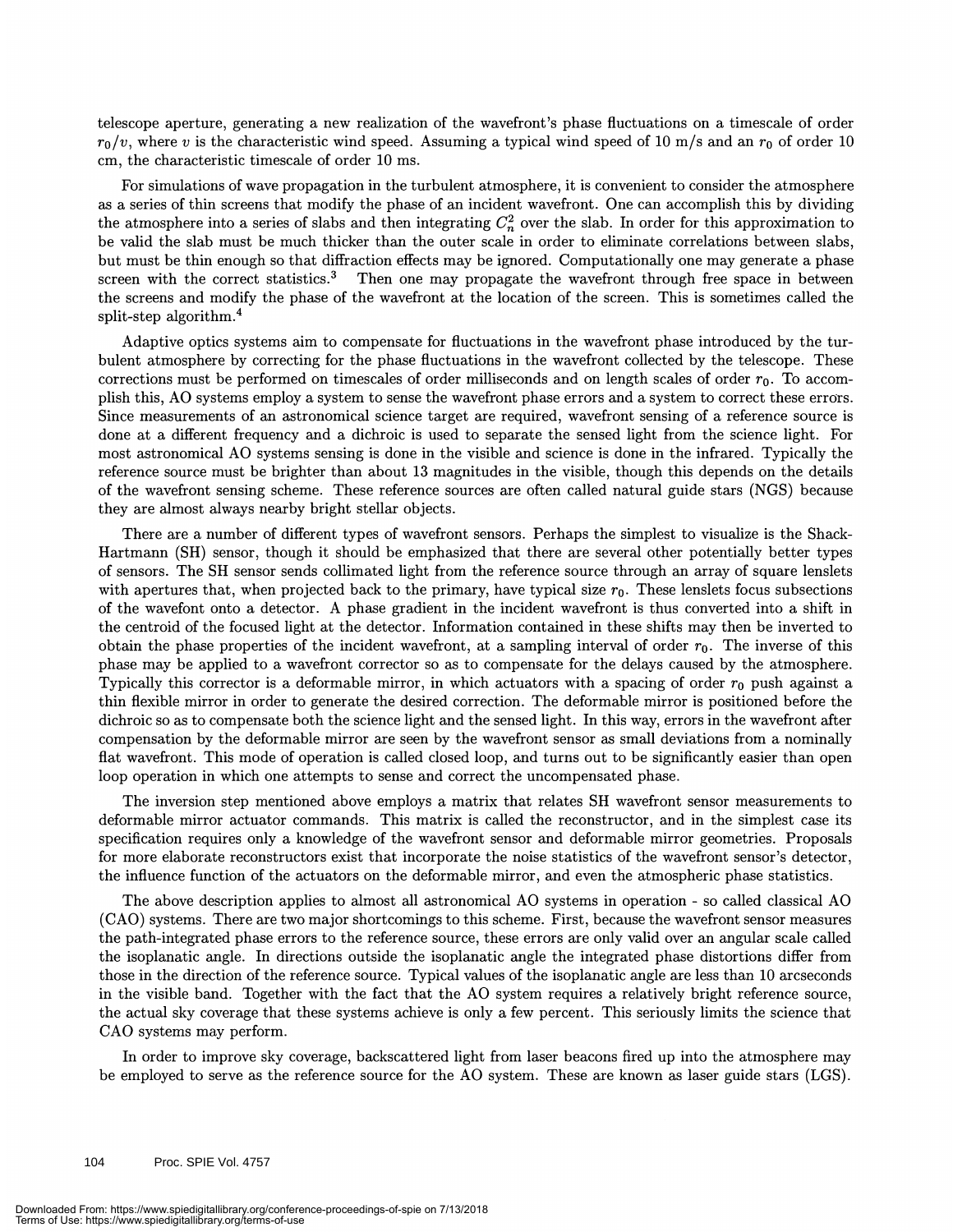telescope aperture, generating a new realization of the wavefront's phase fluctuations on a timescale of order  $r_0/v$ , where v is the characteristic wind speed. Assuming a typical wind speed of 10 m/s and an  $r_0$  of order 10 cm, the characteristic timescale of order 10 ms.

For simulations of wave propagation in the turbulent atmosphere, it is convenient to consider the atmosphere as a series of thin screens that modify the phase of an incident wavefront. One can accomplish this by dividing the atmosphere into a series of slabs and then integrating  $C_n^2$  over the slab. In order for this approximation to be valid the slab must be much thicker than the outer scale in order to eliminate correlations between slabs, but must be thin enough so that diffraction effects may be ignored. Computationally one may generate a phase screen with the correct statistics.<sup>3</sup> Then one may propagate the wavefront through free space in between the screens and modify the phase of the wavefront at the location of the screen. This is sometimes called the split-step algorithm.4

Adaptive optics systems aim to compensate for fluctuations in the wavefront phase introduced by the turbulent atmosphere by correcting for the phase fluctuations in the wavefront collected by the telescope. These corrections must be performed on timescales of order milliseconds and on length scales of order  $r_0$ . To accompush this, AO systems employ a system to sense the wavefront phase errors and a system to correct these errsrs. Since measurements of an astronomical science target are required, wavefront sensing of a reference source is done at a different frequency and a dichroic is used to separate the sensed light from the science light. For most astronomical AO systems sensing is done in the visible and science is done in the infrared. Typically the reference source must be brighter than about 13 magnitudes in the visible, though this depends on the details of the wavefront sensing scheme. These reference sources are often called natural guide stars (NGS) because they are almost always nearby bright stellar objects.

There are a number of different types of wavefront sensors. Perhaps the simplest to visualize is the Shack-Hartmann (511) sensor, though it should be emphasized that there are several other potentially better types of sensors. The SH sensor sends collimated light from the reference source through an array of square lenslets with apertures that, when projected back to the primary, have typical size  $r_0$ . These lenslets focus subsections of the wavefont onto a detector. A phase gradient in the incident wavefront is thus converted into a shift in the centroid of the focused light at the detector. Information contained in these shifts may then be inverted to obtain the phase properties of the incident wavefront, at a sampling interval of order  $r_0$ . The inverse of this phase may be applied to a wavefront corrector so as to compensate for the delays caused by the atmosphere. Typically this corrector is a deformable mirror, in which actuators with a spacing of order  $r_0$  push against a thin flexible mirror in order to generate the desired correction. The deformable mirror is positioned before the dichroic so as to compensate both the science light and the sensed light. In this way, errors in the wavefront after compensation by the deformable mirror are seen by the wavefront sensor as small deviations from a nominally flat wavefront. This mode of operation is called closed loop, and turns out to be significantly easier than open loop operation in which one attempts to sense and correct the uncompensated phase.

The inversion step mentioned above employs a matrix that relates 511 wavefront sensor measurements to deformable mirror actuator commands. This matrix is called the reconstructor, and in the simplest case its specification requires only a knowledge of the wavefront sensor and deformable mirror geometries. Proposals for more elaborate reconstructors exist that incorporate the noise statistics of the wavefront sensor's detector, the influence function of the actuators on the deformable mirror, and even the atmospheric phase statistics.

The above description applies to almost all astronomical AO systems in operation - so called classical AO ( CAO) systems. There are two major shortcomings to this scheme. First, because the wavefront sensor measures the path-integrated phase errors to the reference source, these errors are only valid over an angular scale called the isoplanatic angle. In directions outside the isoplanatic angle the integrated phase distortions differ from those in the direction of the reference source. Typical values of the isoplanatic angle are less than 10 arcseconds in the visible band. Together with the fact that the AO system requires a relatively bright reference source, the actual sky coverage that these systems achieve is only a few percent. This seriously limits the science that CAO systems may perform.

In order to improve sky coverage, backscattered light from laser beacons fired up into the atmosphere may be employed to serve as the reference source for the AO system. These are known as laser guide stars (LGS).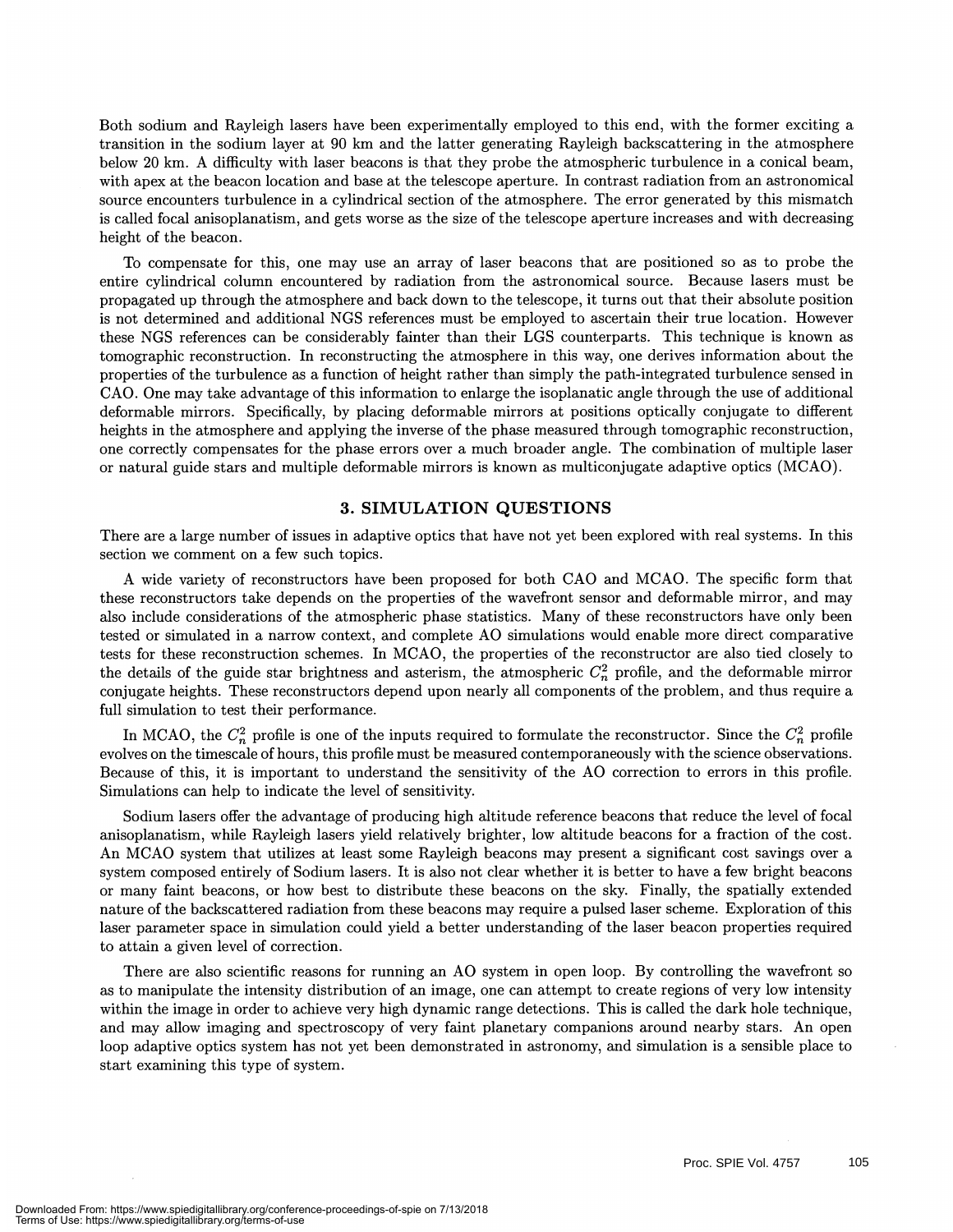Both sodium and Rayleigh lasers have been experimentally employed to this end, with the former exciting a transition in the sodium layer at 90 km and the latter generating Rayleigh backscattering in the atmosphere below 20 km. A difficulty with laser beacons is that they probe the atmospheric turbulence in a conical beam, with apex at the beacon location and base at the telescope aperture. In contrast radiation from an astronomical source encounters turbulence in a cylindrical section of the atmosphere. The error generated by this mismatch is called focal anisoplanatism, and gets worse as the size of the telescope aperture increases and with decreasing height of the beacon.

To compensate for this, one may use an array of laser beacons that are positioned so as to probe the entire cylindrical column encountered by radiation from the astronomical source. Because lasers must be propagated up through the atmosphere and back down to the telescope, it turns out that their absolute position is not determined and additional NGS references must be employed to ascertain their true location. However these NGS references can be considerably fainter than their LGS counterparts. This technique is known as tomographic reconstruction. In reconstructing the atmosphere in this way, one derives information about the properties of the turbulence as a function of height rather than simply the path-integrated turbulence sensed in CAO. One may take advantage of this information to enlarge the isoplanatic angle through the use of additional deformable mirrors. Specifically, by placing deformable mirrors at positions optically conjugate to different heights in the atmosphere and applying the inverse of the phase measured through tomographic reconstruction, one correctly compensates for the phase errors over a much broader angle. The combination of multiple laser or natural guide stars and multiple deformable mirrors is known as multiconjugate adaptive optics (MCAO).

#### 3. SIMULATION QUESTIONS

There are a large number of issues in adaptive optics that have not yet been explored with real systems. In this section we comment on a few such topics.

A wide variety of reconstructors have been proposed for both CAO and MCAO. The specific form that these reconstructors take depends on the properties of the wavefront sensor and deformable mirror, and may also include considerations of the atmospheric phase statistics. Many of these reconstructors have only been tested or simulated in a narrow context, and complete AO simulations would enable more direct comparative tests for these reconstruction schemes. In MCAO, the properties of the reconstructor are also tied closely to the details of the guide star brightness and asterism, the atmospheric  $C_n^2$  profile, and the deformable mirror conjugate heights. These reconstructors depend upon nearly all components of the problem, and thus require a full simulation to test their performance.

In MCAO, the  $C_n^2$  profile is one of the inputs required to formulate the reconstructor. Since the  $C_n^2$  profile evolves on the timescale of hours, this profile must be measured contemporaneously with the science observations. Because of this, it is important to understand the sensitivity of the AO correction to errors in this profile. Simulations can help to indicate the level of sensitivity.

Sodium lasers offer the advantage of producing high altitude reference beacons that reduce the level of focal anisoplanatism, while Rayleigh lasers yield relatively brighter, low altitude beacons for a fraction of the cost. An MCAO system that utilizes at least some Rayleigh beacons may present a significant cost savings over a system composed entirely of Sodium lasers. It is also not clear whether it is better to have a few bright beacons or many faint beacons, or how best to distribute these beacons on the sky. Finally, the spatially extended nature of the backscattered radiation from these beacons may require a pulsed laser scheme. Exploration of this laser parameter space in simulation could yield a better understanding of the laser beacon properties required to attain a given level of correction.

There are also scientific reasons for running an AO system in open loop. By controlling the wavefront so as to manipulate the intensity distribution of an image, one can attempt to create regions of very low intensity within the image in order to achieve very high dynamic range detections. This is called the dark hole technique, and may allow imaging and spectroscopy of very faint planetary companions around nearby stars. An open loop adaptive optics system has not yet been demonstrated in astronomy, and simulation is a sensible place to start examining this type of system.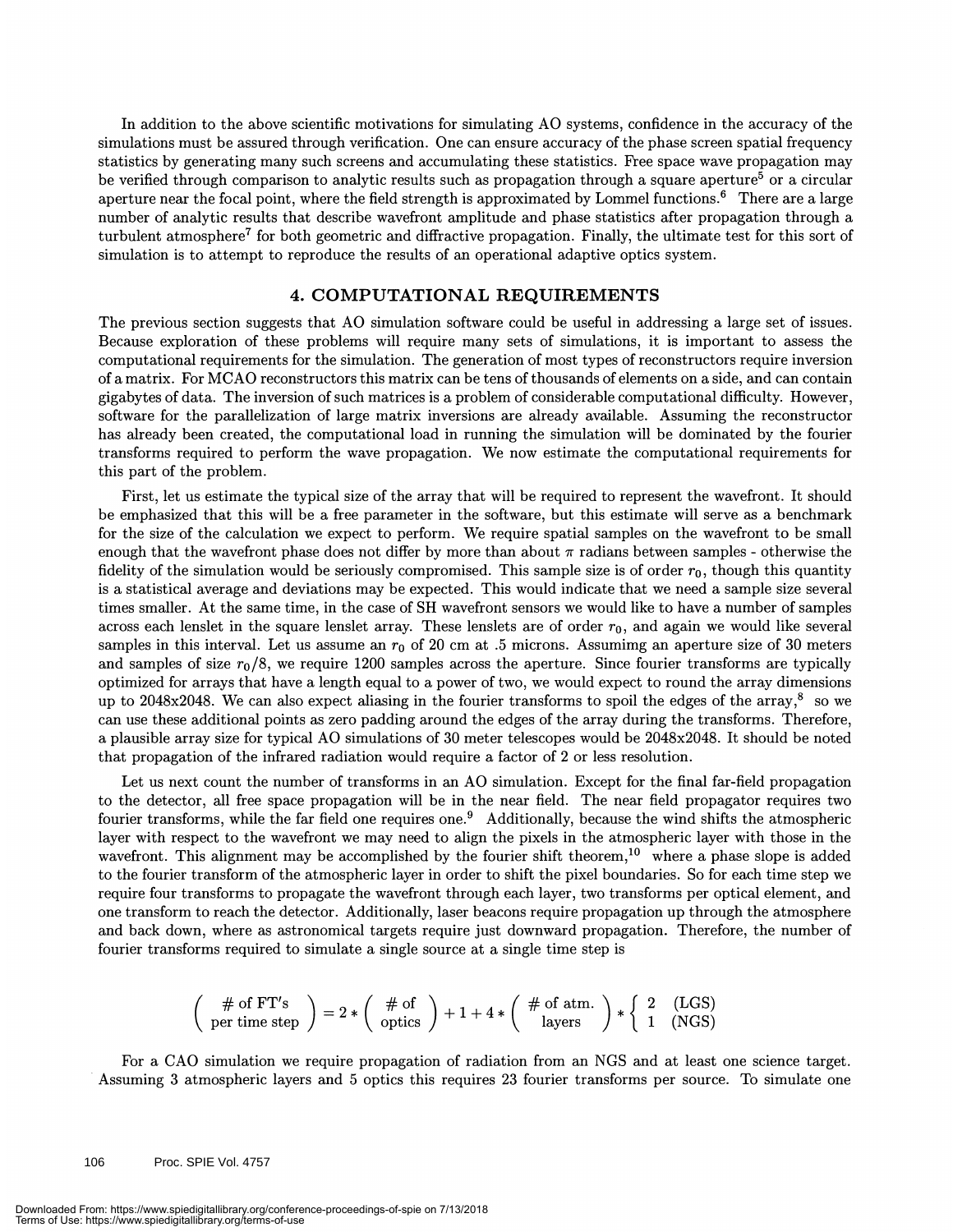In addition to the above scientific motivations for simulating AO systems, confidence in the accuracy of the simulations must be assured through verification. One can ensure accuracy of the phase screen spatial frequency statistics by generating many such screens and accumulating these statistics. Free space wave propagation may be verified through comparison to analytic results such as propagation through a square aperture<sup>5</sup> or a circular aperture near the focal point, where the field strength is approximated by Lommel functions.<sup>6</sup> There are a large number of analytic results that describe wavefront amplitude and phase statistics after propagation through a turbulent atmosphere<sup>7</sup> for both geometric and diffractive propagation. Finally, the ultimate test for this sort of simulation is to attempt to reproduce the results of an operational adaptive optics system.

#### 4. COMPUTATIONAL REQUIREMENTS

The previous section suggests that AO simulation software could be useful in addressing a large set of issues. Because exploration of these problems will require many sets of simulations, it is important to assess the computational requirements for the simulation. The generation of most types of reconstructors require inversion of a matrix. For MCAO reconstructors this matrix can be tens of thousands of elements on a side, and can contain gigabytes of data. The inversion of such matrices is a problem of considerable computational difficulty. However, software for the parallelization of large matrix inversions are already available. Assuming the reconstructor has already been created, the computational load in running the simulation will be dominated by the fourier transforms required to perform the wave propagation. We now estimate the computational requirements for this part of the problem.

First, let us estimate the typical size of the array that will be required to represent the wavefront. It should be emphasized that this will be a free parameter in the software, but this estimate will serve as a benchmark for the size of the calculation we expect to perform. We require spatial samples on the wavefront to be small enough that the wavefront phase does not differ by more than about  $\pi$  radians between samples - otherwise the fidelity of the simulation would be seriously compromised. This sample size is of order  $r_0$ , though this quantity is a statistical average and deviations may be expected. This would indicate that we need a sample size several times smaller. At the same time, in the case of SH wavefront sensors we would like to have a number of samples across each lenslet in the square lenslet array. These lenslets are of order  $r_0$ , and again we would like several samples in this interval. Let us assume an  $r_0$  of 20 cm at .5 microns. Assuming an aperture size of 30 meters and samples of size  $r_0/8$ , we require 1200 samples across the aperture. Since fourier transforms are typically optimized for arrays that have a length equal to a power of two, we would expect to round the array dimensions up to 2048x2048. We can also expect aliasing in the fourier transforms to spoil the edges of the array, $8\degree$  so we can use these additional points as zero padding around the edges of the array during the transforms. Therefore, a plausible array size for typical AO simulations of 30 meter telescopes would be 2048x2048. It should be noted that propagation of the infrared radiation would require a factor of 2 or less resolution.

Let us next count the number of transforms in an AO simulation. Except for the final far-field propagation to the detector, all free space propagation will be in the near field. The near field propagator requires two fourier transforms, while the far field one requires one.<sup>9</sup> Additionally, because the wind shifts the atmospheric layer with respect to the wavefront we may need to align the pixels in the atmospheric layer with those in the wavefront. This alignment may be accomplished by the fourier shift theorem,<sup>10</sup> where a phase slope is added to the fourier transform of the atmospheric layer in order to shift the pixel boundaries. So for each time step we require four transforms to propagate the wavefront through each layer, two transforms per optical element, and one transform to reach the detector. Additionally, laser beacons require propagation up through the atmosphere and back down, where as astronomical targets require just downward propagation. Therefore, the number of fourier transforms required to simulate a single source at a single time step is

$$
\begin{pmatrix}\n\# \text{ of FT's} \\
\text{per time step}\n\end{pmatrix} = 2 * \begin{pmatrix}\n\# \text{ of} \\
\text{ optics}\n\end{pmatrix} + 1 + 4 * \begin{pmatrix}\n\# \text{ of atm.} \\
\text{layers}\n\end{pmatrix} * \begin{pmatrix}\n2 & (\text{LGS}) \\
1 & (\text{NGS})\n\end{pmatrix}
$$

For a GAO simulation we require propagation of radiation from an NGS and at least one science target. Assuming 3 atmospheric layers and 5 optics this requires 23 fourier transforms per source. To simulate one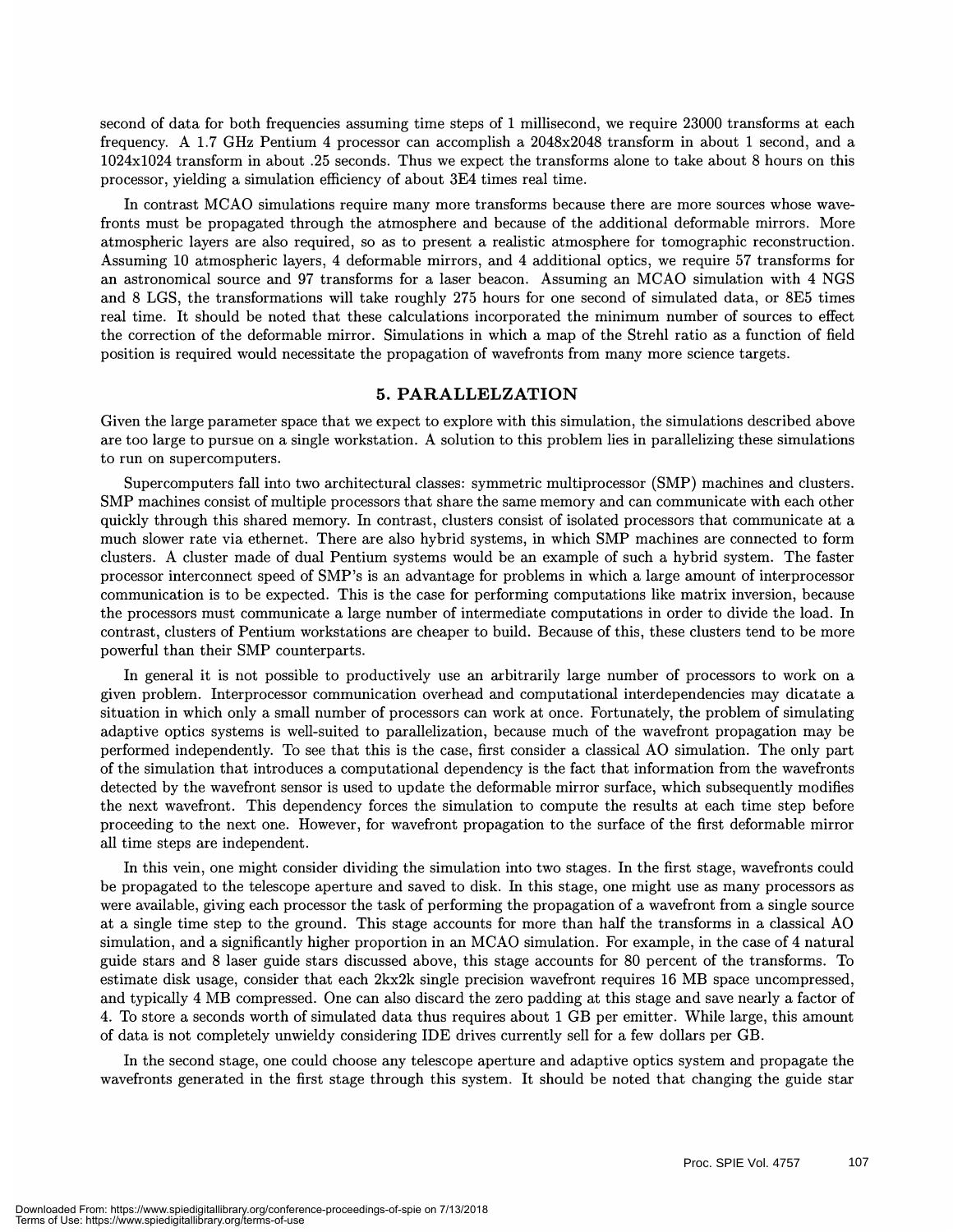second of data for both frequencies assuming time steps of 1 millisecond, we require 23000 transforms at each frequency. A 1.7 GHz Pentium 4 processor can accomplish a 2048x2048 transform in about 1 second, and a 1024x1024 transform in about .25 seconds. Thus we expect the transforms alone to take about 8 hours on this processor, yielding a simulation efficiency of about 3E4 times real time.

In contrast MCAO simulations require many more transforms because there are more sources whose wavefronts must be propagated through the atmosphere and because of the additional deformable mirrors. More atmospheric layers are also required, so as to present a realistic atmosphere for tomographic reconstruction. Assuming 10 atmospheric layers, 4 deformable mirrors, and 4 additional optics, we require 57 transforms for an astronomical source and 97 transforms for a laser beacon. Assuming an MCAO simulation with 4 NGS and 8 LGS, the transformations will take roughly 275 hours for one second of simulated data, or 8E5 times real time. It should be noted that these calculations incorporated the minimum number of sources to effect the correction of the deformable mirror. Simulations in which a map of the Strehi ratio as a function of field position is required would necessitate the propagation of wavefronts from many more science targets.

#### 5. PARALLELZATION

Given the large parameter space that we expect to explore with this simulation, the simulations described above are too large to pursue on a single workstation. A solution to this problem lies in parallelizing these simulations to run on supercomputers.

Supercomputers fall into two architectural classes: symmetric multiprocessor (SMP) machines and clusters. SMP machines consist of multiple processors that share the same memory and can communicate with each other quickly through this shared memory. In contrast, clusters consist of isolated processors that communicate at a much slower rate via ethernet. There are also hybrid systems, in which SMP machines are connected to form clusters. A cluster made of dual Pentium systems would be an example of such a hybrid system. The faster processor interconnect speed of SMP's is an advantage for problems in which a large amount of interprocessor communication is to be expected. This is the case for performing computations like matrix inversion, because the processors must communicate a large number of intermediate computations in order to divide the load. In contrast, clusters of Pentium workstations are cheaper to build. Because of this, these clusters tend to be more powerful than their SMP counterparts.

In general it is not possible to productively use an arbitrarily large number of processors to work on a given problem. Interprocessor communication overhead and computational interdependencies may dicatate a situation in which only a small number of processors can work at once. Fortunately, the problem of simulating adaptive optics systems is well-suited to parallelization, because much of the wavefront propagation may be performed independently. To see that this is the case, first consider a classical AO simulation. The only part of the simulation that introduces a computational dependency is the fact that information from the wavefronts detected by the wavefront sensor is used to update the deformable mirror surface, which subsequently modifies the next wavefront. This dependency forces the simulation to compute the results at each time step before proceeding to the next one. However, for wavefront propagation to the surface of the first deformable mirror all time steps are independent.

In this vein, one might consider dividing the simulation into two stages. In the first stage, wavefronts could be propagated to the telescope aperture and saved to disk. In this stage, one might use as many processors as were available, giving each processor the task of performing the propagation of a wavefront from a single source at a single time step to the ground. This stage accounts for more than half the transforms in a classical AO simulation, and a significantly higher proportion in an MCAO simulation. For example, in the case of 4 natural guide stars and 8 laser guide stars discussed above, this stage accounts for 80 percent of the transforms. To estimate disk usage, consider that each 2kx2k single precision wavefront requires 16 MB space uncompressed, and typically 4 MB compressed. One can also discard the zero padding at this stage and save nearly a factor of 4. To store a seconds worth of simulated data thus requires about 1 GB per emitter. While large, this amount of data is not completely unwieldy considering IDE drives currently sell for a few dollars per GB.

In the second stage, one could choose any telescope aperture and adaptive optics system and propagate the wavefronts generated in the first stage through this system. It should be noted that changing the guide star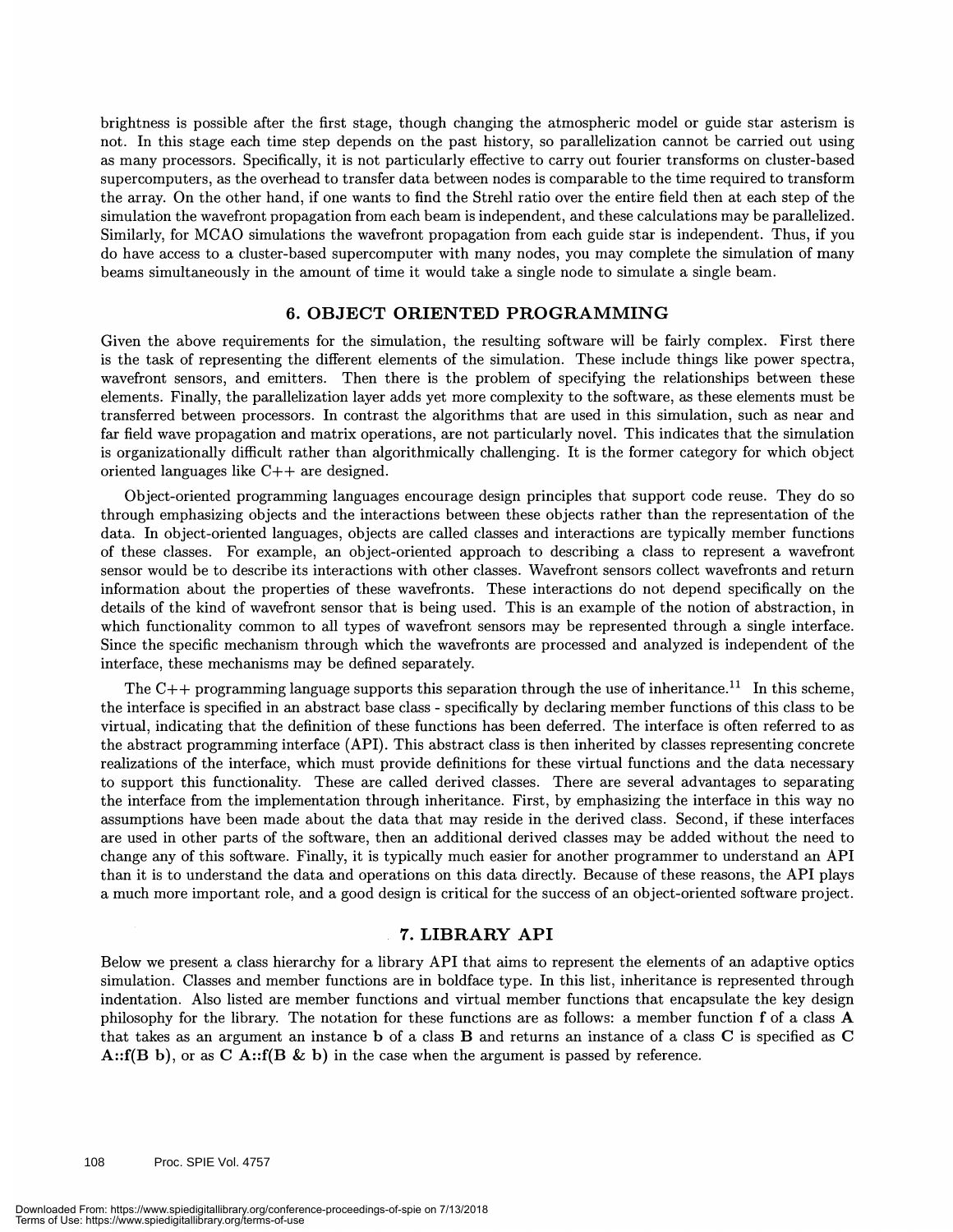brightness is possible after the first stage, though changing the atmospheric model or guide star asterism is not. In this stage each time step depends on the past history, so parallelization cannot be carried out using as many processors. Specifically, it is not particularly effective to carry out fourier transforms on cluster-based supercomputers, as the overhead to transfer data between nodes is comparable to the time required to transform the array. On the other hand, if one wants to find the Strehl ratio over the entire field then at each step of the simulation the wavefront propagation from each beam is independent, and these calculations may be parallelized. Similarly, for MCAO simulations the wavefront propagation from each guide star is independent. Thus, if you do have access to a cluster-based supercomputer with many nodes, you may complete the simulation of many beams simultaneously in the amount of time it would take a single node to simulate a single beam.

#### 6. OBJECT ORIENTED PROGRAMMING

Given the above requirements for the simulation, the resulting software will be fairly complex. First there is the task of representing the different elements of the simulation. These include things like power spectra, wavefront sensors, and emitters. Then there is the problem of specifying the relationships between these elements. Finally, the parallelization layer adds yet more complexity to the software, as these elements must be transferred between processors. In contrast the algorithms that are used in this simulation, such as near and far field wave propagation and matrix operations, are not particularly novel. This indicates that the simulation is organizationally difficult rather than algorithmically challenging. It is the former category for which object oriented languages like C++ are designed.

Object-oriented programming languages encourage design principles that support code reuse. They do so through emphasizing objects and the interactions between these objects rather than the representation of the data. In object-oriented languages, objects are called classes and interactions are typically member functions of these classes. For example, an object-oriented approach to describing a class to represent a wavefront sensor would be to describe its interactions with other classes. Wavefront sensors collect wavefronts and return information about the properties of these wavefronts. These interactions do not depend specifically on the details of the kind of wavefront sensor that is being used. This is an example of the notion of abstraction, in which functionality common to all types of wavefront sensors may be represented through a single interface. Since the specific mechanism through which the wavefronts are processed and analyzed is independent of the interface, these mechanisms may be defined separately.

The C++ programming language supports this separation through the use of inheritance.<sup>11</sup> In this scheme, the interface is specified in an abstract base class - specifically by declaring member functions of this class to be virtual, indicating that the definition of these functions has been deferred. The interface is often referred to as the abstract programming interface (API). This abstract class is then inherited by classes representing concrete realizations of the interface, which must provide definitions for these virtual functions and the data necessary to support this functionality. These are called derived classes. There are several advantages to separating the interface from the implementation through inheritance. First, by emphasizing the interface in this way no assumptions have been made about the data that may reside in the derived class. Second, if these interfaces are used in other parts of the software, then an additional derived classes may be added without the need to change any of this software. Finally, it is typically much easier for another programmer to understand an API than it is to understand the data and operations on this data directly. Because of these reasons, the API plays a much more important role, and a good design is critical for the success of an object-oriented software project.

#### 7. LIBRARY API

Below we present a class hierarchy for a library API that aims to represent the elements of an adaptive optics simulation. Classes and member functions are in boldface type. In this list, inheritance is represented through indentation. Also listed are member functions and virtual member functions that encapsulate the key design philosophy for the library. The notation for these functions are as follows: a member function f of a class A that takes as an argument an instance b of a class B and returns an instance of a class C is specified as C A:: $f(B b)$ , or as C A:: $f(B \& b)$  in the case when the argument is passed by reference.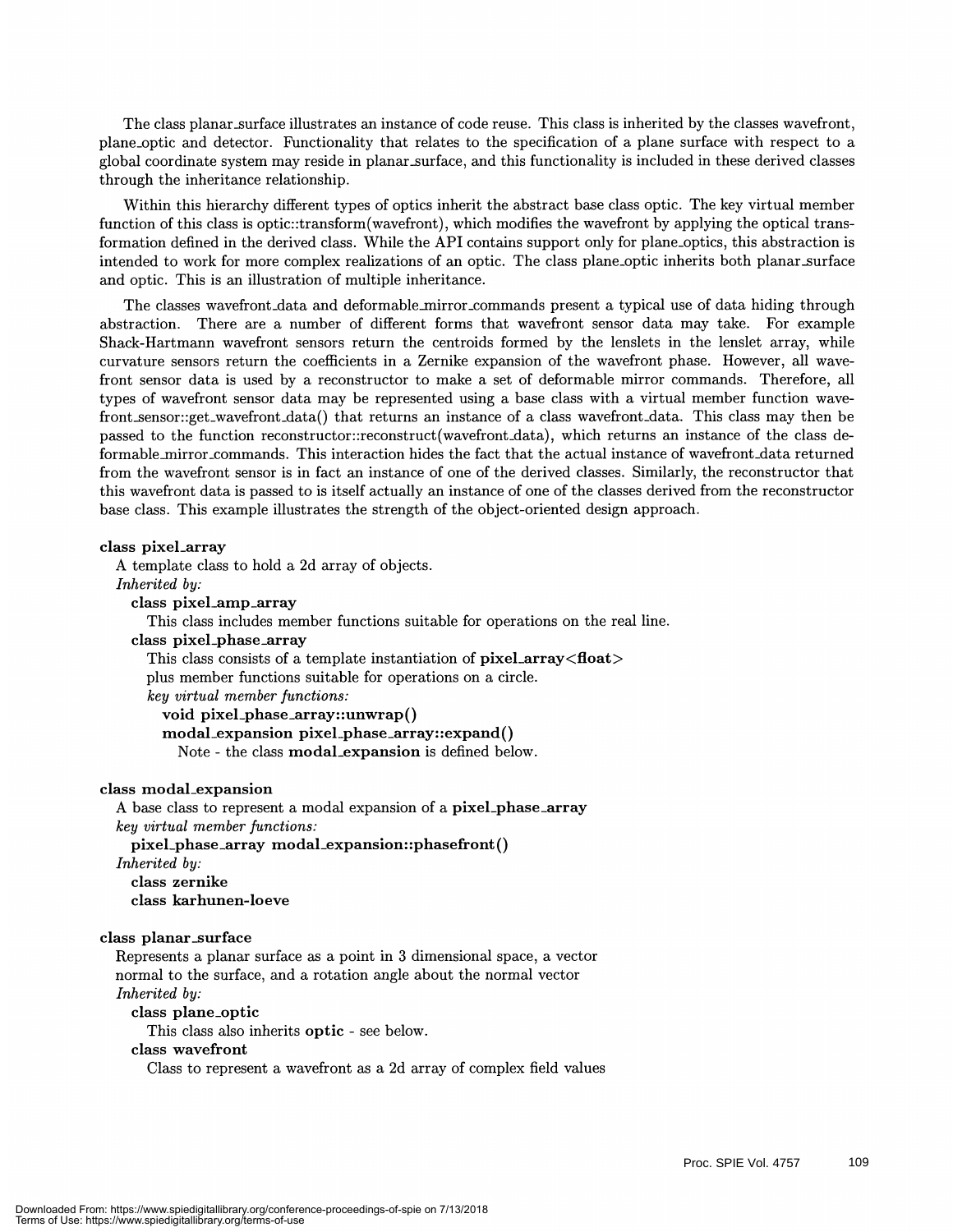The class planar surface illustrates an instance of code reuse. This class is inherited by the classes wavefront, plane\_optic and detector. Functionality that relates to the specification of a plane surface with respect to a global coordinate system may reside in planar surface, and this functionality is included in these derived classes through the inheritance relationship.

Within this hierarchy different types of optics inherit the abstract base class optic. The key virtual member function of this class is optic::transform(wavefront), which modifies the wavefront by applying the optical transformation defined in the derived class. While the API contains support only for plane optics, this abstraction is intended to work for more complex realizations of an optic. The class plane optic inherits both planar surface and optic. This is an illustration of multiple inheritance.

The classes wavefront data and deformable mirror commands present a typical use of data hiding through abstraction. There are a number of different forms that wavefront sensor data may take. For example Shack-Hartmann wavefront sensors return the centroids formed by the lenslets in the lenslet array, while curvature sensors return the coefficients in a Zernike expansion of the wavefront phase. However, all wavefront sensor data is used by a reconstructor to make a set of deformable mirror commands. Therefore, all types of wavefront sensor data may be represented using a base class with a virtual member function wavefront\_sensor::get\_wavefront\_data() that returns an instance of a class wavefront\_data. This class may then be passed to the function reconstructor::reconstruct(wavefront\_data), which returns an instance of the class deformable\_mirror\_commands. This interaction hides the fact that the actual instance of wavefront\_data returned from the wavefront sensor is in fact an instance of one of the derived classes. Similarly, the reconstructor that this wavefront data is passed to is itself actually an instance of one of the classes derived from the reconstructor base class. This example illustrates the strength of the object-oriented design approach.

#### class pixel\_array

A template class to hold a 2d array of objects.

Inherited by:

#### class pixel\_amp\_array

This class includes member functions suitable for operations on the real line.

#### class pixel\_phase\_array

This class consists of a template instantiation of pixel\_array<float> plus member functions suitable for operations on a circle. key virtual member functions: void pixel\_phase\_array: :unwrap()

modal\_expansion pixel\_phase\_array::expand() Note - the class modal\_expansion is defined below.

#### class modal\_expansion

A base class to represent a modal expansion of a pixel\_phase\_array key virtual member functions:

pixel\_phase\_array modal\_expansion::phasefront() Inherited by:

class zernike

class karhunen-loeve

#### class planar\_surface

Represents a planar surface as a point in 3 dimensional space, a vector normal to the surface, and a rotation angle about the normal vector Inherited by:

class plane\_optic

This class also inherits optic - see below.

#### class wavefront

Class to represent a wavefront as a 2d array of complex field values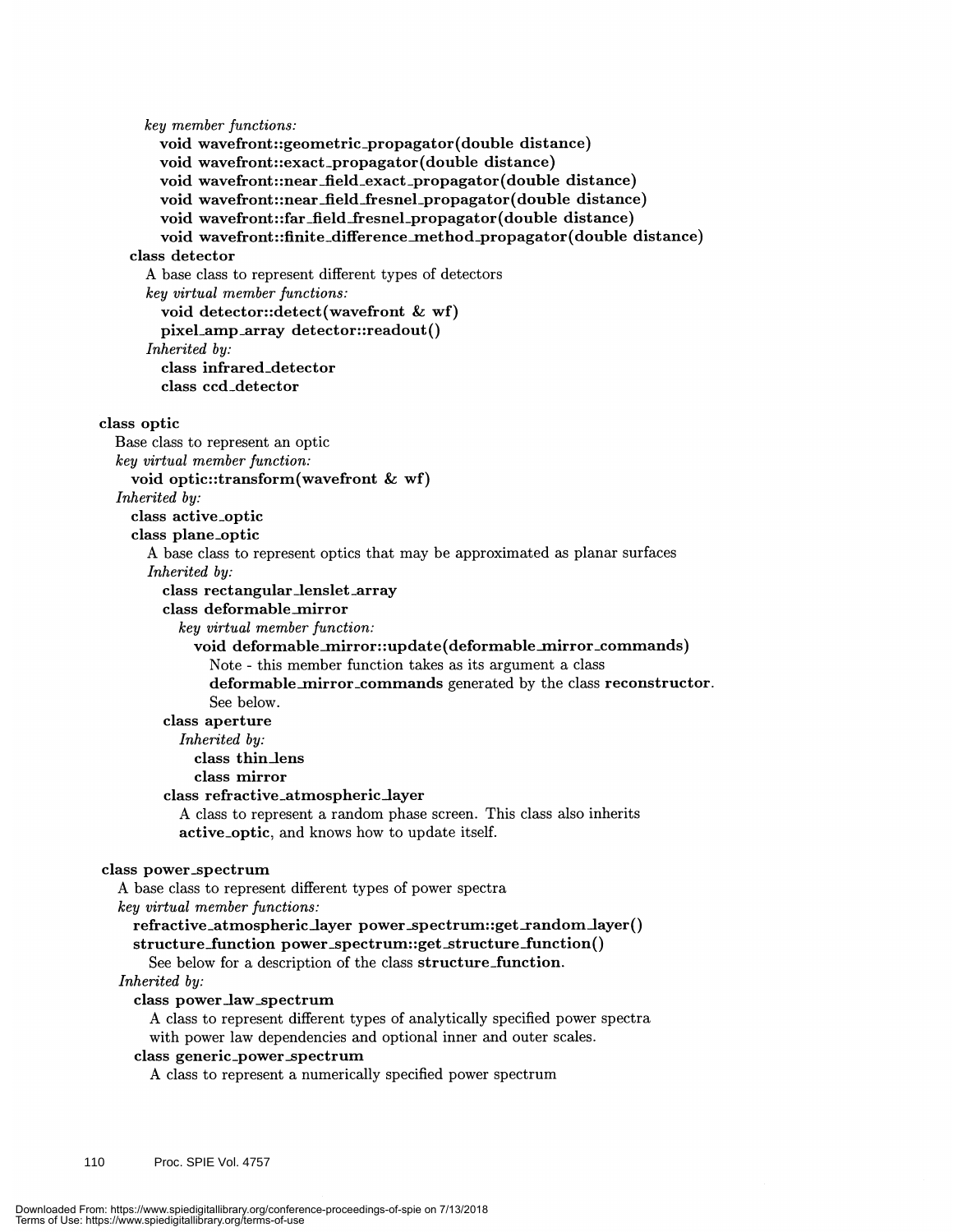key member functions: void wavefront : :geometric\_propagator(double distance) void wavefront::exact\_propagator(double distance) void wavefront::near\_field\_exact\_propagator(double distance) void wavefront::near\_field\_fresnel\_propagator(double distance) void wavefront::far\_field\_fresnel\_propagator(double distance) void wavefront::finite\_difference\_method\_propagator(double distance) class detector A base class to represent different types of detectors key virtual member functions: void detector::detect(wavefront & wf) pixel\_amp\_array detector: :readout() Inherited by: class infrared\_detector class ccd\_detector class optic Base class to represent an optic key virtual member function: void optic::transform(wavefront & wf) Inherited by: class active\_optic class plane\_optic A base class to represent optics that may be approximated as planar surfaces Inherited by: class rectangular\_lenslet\_array class deformable\_mirror key virtual member function: void deformable\_mirror: :update (deformable\_mirror\_commands) Note - this member function takes as its argument a class deformable\_mirror\_commands generated by the class reconstructor. See below. class aperture Inherited by: class thin\_lens class mirror class refractive\_atmospheric\_layer A class to represent a random phase screen. This class also inherits active\_optic, and knows how to update itself. class power\_spectrum A base class to represent different types of power spectra key virtual member functions: refractive\_atmospheric\_layer power\_spectrum::get\_random\_layer() structure\_function power\_spectrum::get\_structure\_function() See below for a description of the class structure\_function. Inherited by: class power\_law\_spectrum A class to represent different types of analytically specified power spectra with power law dependencies and optional inner and outer scales. class generic\_power\_spectrum A class to represent a numerically specified power spectrum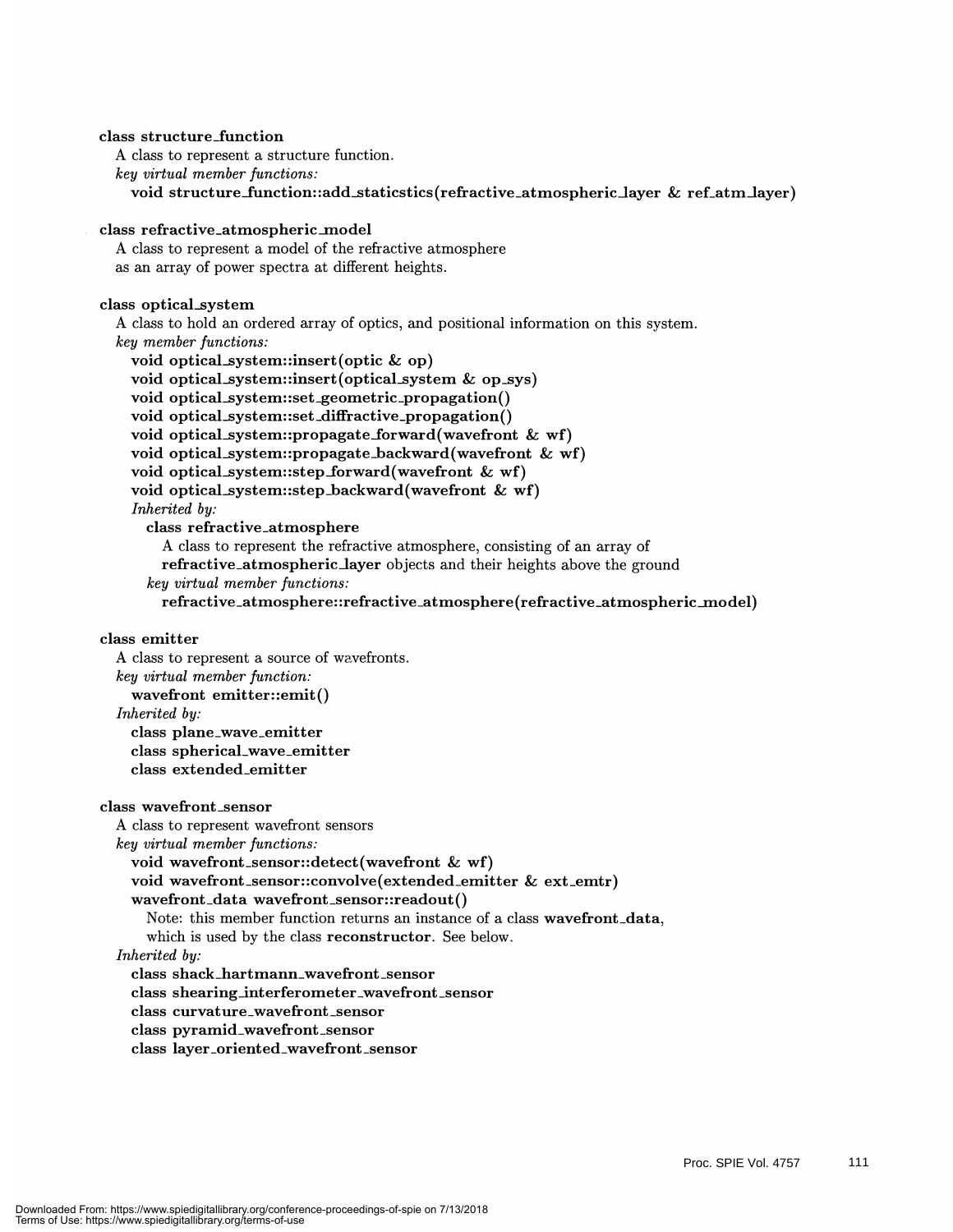### class structure\_function A class to represent a structure function. key virtual member functions: void structure\_function : : add\_staticstics (refractive\_atmospheric\_layer & ref\_atm\_layer) class refractive\_atmospheric\_model A class to represent a model of the refractive atmosphere as an array of power spectra at different heights.

#### class optical\_system

A class to hold an ordered array of optics, and positional information on this system.

- key member functions: void optical\_system: :insert(optic & op) void optical\_system: :insert(opticaLsystem & op\_sys) void optical\_system: :set \_geometric\_propagation() void optical\_system::set\_diffractive\_propagation() void optical\_system: :propagate\_forward(wavefront & wf) void optical\_system::propagate\_backward(wavefront & wf) void optical\_system::step\_forward(wavefront & wf) void optical\_system: :step \_backward(wavefront & wf) Inherited by: class refractive\_atmosphere A class to represent the refractive atmosphere, consisting of an array of refractive\_atmospheric\_layer objects and their heights above the ground
	- key virtual member functions:

refractive\_atmosphere : :refractive\_atmosphere(refractive\_atmospheric\_mo del)

#### class emitter

A class to represent a source of wavefronts. key virtual member function: wavefront emitter::emit() Inherited by: class plane\_wave\_emitter class spherical\_wave\_emitter class extended\_emitter

#### class wavefront \_sensor

A class to represent wavefront sensors

key virtual member functions:

void wavefront\_sensor::detect(wavefront & wf)

void wavefront \_sensor : :convolve(extended\_emitter & ext \_emtr)

#### wavefront\_data wavefront\_sensor: :readout()

Note: this member function returns an instance of a class wavefront\_data,

which is used by the class reconstructor. See below.

#### Inherited by:

class shack\_hartmann\_wavefront \_sensor

class shearing\_interferometer\_wavefront \_sensor

class curvature\_wavefront \_sensor

- class pyramid\_wavefront \_sensor
- class layer\_oriented\_wavefront\_sensor